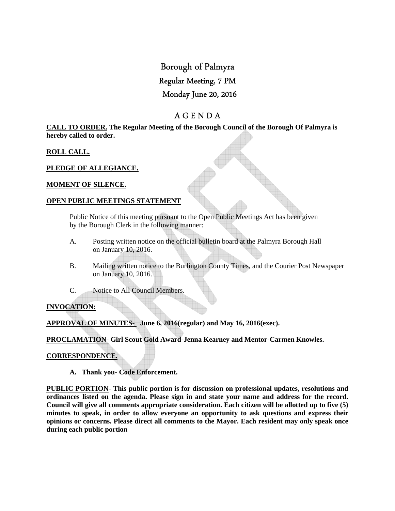# Borough of Palmyra

# Regular Meeting, 7 PM

# Monday June 20, 2016

# A G E N D A

#### **CALL TO ORDER. The Regular Meeting of the Borough Council of the Borough Of Palmyra is hereby called to order.**

### **ROLL CALL.**

### **PLEDGE OF ALLEGIANCE.**

#### **MOMENT OF SILENCE.**

#### **OPEN PUBLIC MEETINGS STATEMENT**

 Public Notice of this meeting pursuant to the Open Public Meetings Act has been given by the Borough Clerk in the following manner:

- A. Posting written notice on the official bulletin board at the Palmyra Borough Hall on January 10, 2016.
- B. Mailing written notice to the Burlington County Times, and the Courier Post Newspaper on January 10, 2016.
- C. Notice to All Council Members.

# **INVOCATION:**

**APPROVAL OF MINUTES- June 6, 2016(regular) and May 16, 2016(exec).** 

**PROCLAMATION- Girl Scout Gold Award-Jenna Kearney and Mentor-Carmen Knowles.** 

#### **CORRESPONDENCE.**

 **A. Thank you- Code Enforcement.** 

**PUBLIC PORTION- This public portion is for discussion on professional updates, resolutions and ordinances listed on the agenda. Please sign in and state your name and address for the record. Council will give all comments appropriate consideration. Each citizen will be allotted up to five (5) minutes to speak, in order to allow everyone an opportunity to ask questions and express their opinions or concerns. Please direct all comments to the Mayor. Each resident may only speak once during each public portion**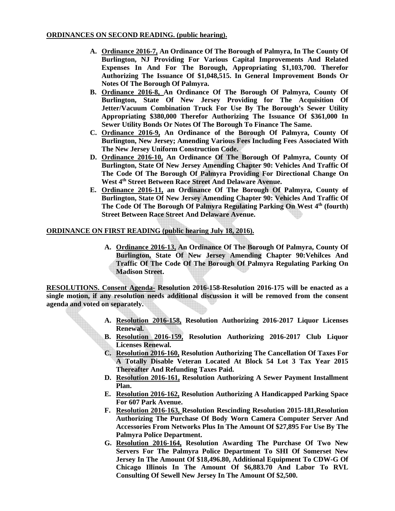- **A. Ordinance 2016-7, An Ordinance Of The Borough of Palmyra, In The County Of Burlington, NJ Providing For Various Capital Improvements And Related Expenses In And For The Borough, Appropriating \$1,103,700. Therefor Authorizing The Issuance Of \$1,048,515. In General Improvement Bonds Or Notes Of The Borough Of Palmyra.**
- **B. Ordinance 2016-8, An Ordinance Of The Borough Of Palmyra, County Of Burlington, State Of New Jersey Providing for The Acquisition Of Jetter/Vacuum Combination Truck For Use By The Borough's Sewer Utility Appropriating \$380,000 Therefor Authorizing The Issuance Of \$361,000 In Sewer Utility Bonds Or Notes Of The Borough To Finance The Same.**
- **C. Ordinance 2016-9, An Ordinance of the Borough Of Palmyra, County Of Burlington, New Jersey; Amending Various Fees Including Fees Associated With The New Jersey Uniform Construction Code.**
- **D. Ordinance 2016-10, An Ordinance Of The Borough Of Palmyra, County Of Burlington, State Of New Jersey Amending Chapter 90: Vehicles And Traffic Of The Code Of The Borough Of Palmyra Providing For Directional Change On West 4th Street Between Race Street And Delaware Avenue.**
- **E. Ordinance 2016-11, an Ordinance Of The Borough Of Palmyra, County of Burlington, State Of New Jersey Amending Chapter 90: Vehicles And Traffic Of The Code Of The Borough Of Palmyra Regulating Parking On West 4th (fourth) Street Between Race Street And Delaware Avenue.**

# **ORDINANCE ON FIRST READING (public hearing July 18, 2016).**

**A. Ordinance 2016-13, An Ordinance Of The Borough Of Palmyra, County Of Burlington, State Of New Jersey Amending Chapter 90:Vehilces And Traffic Of The Code Of The Borough Of Palmyra Regulating Parking On Madison Street.** 

**RESOLUTIONS. Consent Agenda- Resolution 2016-158-Resolution 2016-175 will be enacted as a single motion, if any resolution needs additional discussion it will be removed from the consent agenda and voted on separately.** 

- **A. Resolution 2016-158, Resolution Authorizing 2016-2017 Liquor Licenses Renewal.**
- **B. Resolution 2016-159, Resolution Authorizing 2016-2017 Club Liquor Licenses Renewal.**
- **C. Resolution 2016-160, Resolution Authorizing The Cancellation Of Taxes For A Totally Disable Veteran Located At Block 54 Lot 3 Tax Year 2015 Thereafter And Refunding Taxes Paid.**
- **D. Resolution 2016-161, Resolution Authorizing A Sewer Payment Installment Plan.**
- **E. Resolution 2016-162, Resolution Authorizing A Handicapped Parking Space For 607 Park Avenue.**
- **F. Resolution 2016-163, Resolution Rescinding Resolution 2015-181,Resolution Authorizing The Purchase Of Body Worn Camera Computer Server And Accessories From Networks Plus In The Amount Of \$27,895 For Use By The Palmyra Police Department.**
- **G. Resolution 2016-164, Resolution Awarding The Purchase Of Two New Servers For The Palmyra Police Department To SHI Of Somerset New Jersey In The Amount Of \$18,496.80, Additional Equipment To CDW-G Of Chicago Illinois In The Amount Of \$6,883.70 And Labor To RVL Consulting Of Sewell New Jersey In The Amount Of \$2,500.**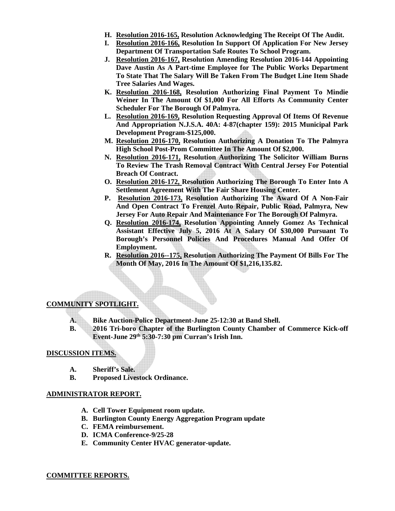- **H. Resolution 2016-165, Resolution Acknowledging The Receipt Of The Audit.**
- **I. Resolution 2016-166, Resolution In Support Of Application For New Jersey Department Of Transportation Safe Routes To School Program.**
- **J. Resolution 2016-167, Resolution Amending Resolution 2016-144 Appointing Dave Austin As A Part-time Employee for The Public Works Department To State That The Salary Will Be Taken From The Budget Line Item Shade Tree Salaries And Wages.**
- **K. Resolution 2016-168, Resolution Authorizing Final Payment To Mindie Weiner In The Amount Of \$1,000 For All Efforts As Community Center Scheduler For The Borough Of Palmyra.**
- **L. Resolution 2016-169, Resolution Requesting Approval Of Items Of Revenue And Appropriation N.J.S.A. 40A: 4-87(chapter 159): 2015 Municipal Park Development Program-\$125,000.**
- **M. Resolution 2016-170, Resolution Authorizing A Donation To The Palmyra High School Post-Prom Committee In The Amount Of \$2,000.**
- **N. Resolution 2016-171, Resolution Authorizing The Solicitor William Burns To Review The Trash Removal Contract With Central Jersey For Potential Breach Of Contract.**
- **O. Resolution 2016-172, Resolution Authorizing The Borough To Enter Into A Settlement Agreement With The Fair Share Housing Center.**
- **P. Resolution 2016-173, Resolution Authorizing The Award Of A Non-Fair And Open Contract To Frenzel Auto Repair, Public Road, Palmyra, New Jersey For Auto Repair And Maintenance For The Borough Of Palmyra.**
- **Q. Resolution 2016-174, Resolution Appointing Annely Gomez As Technical Assistant Effective July 5, 2016 At A Salary Of \$30,000 Pursuant To Borough's Personnel Policies And Procedures Manual And Offer Of Employment.**
- **R. Resolution 2016--175, Resolution Authorizing The Payment Of Bills For The Month Of May, 2016 In The Amount Of \$1,216,135.82.**

# **COMMUNITY SPOTLIGHT.**

- **A. Bike Auction-Police Department-June 25-12:30 at Band Shell.**
- **B. 2016 Tri-boro Chapter of the Burlington County Chamber of Commerce Kick-off Event-June 29th 5:30-7:30 pm Curran's Irish Inn.**

#### **DISCUSSION ITEMS.**

- **A. Sheriff's Sale.**
- **B. Proposed Livestock Ordinance.**

#### **ADMINISTRATOR REPORT.**

- **A. Cell Tower Equipment room update.**
- **B. Burlington County Energy Aggregation Program update**
- **C. FEMA reimbursement.**
- **D. ICMA Conference-9/25-28**
- **E. Community Center HVAC generator-update.**

#### **COMMITTEE REPORTS.**